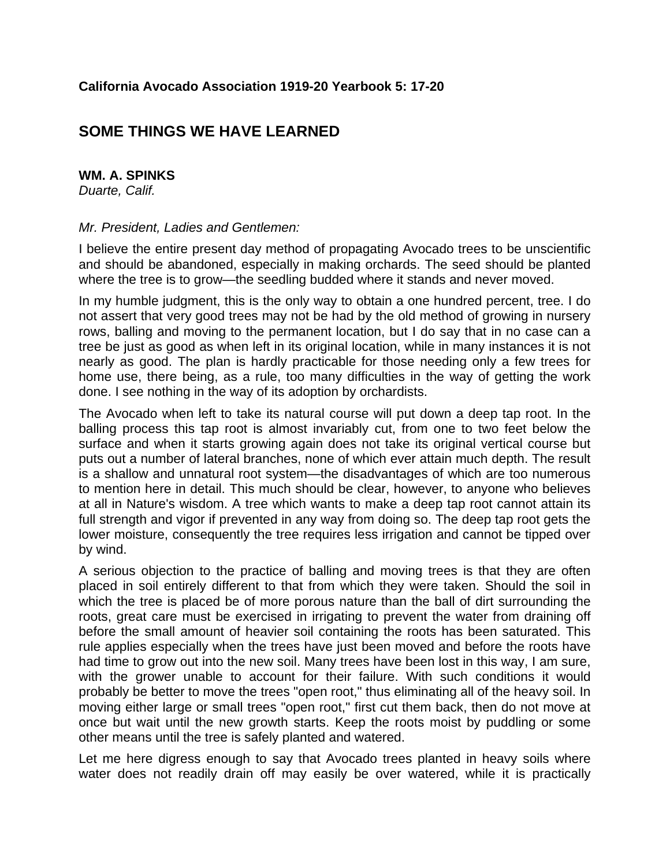## **SOME THINGS WE HAVE LEARNED**

## **WM. A. SPINKS**

*Duarte, Calif.* 

## *Mr. President, Ladies and Gentlemen:*

I believe the entire present day method of propagating Avocado trees to be unscientific and should be abandoned, especially in making orchards. The seed should be planted where the tree is to grow—the seedling budded where it stands and never moved.

In my humble judgment, this is the only way to obtain a one hundred percent, tree. I do not assert that very good trees may not be had by the old method of growing in nursery rows, balling and moving to the permanent location, but I do say that in no case can a tree be just as good as when left in its original location, while in many instances it is not nearly as good. The plan is hardly practicable for those needing only a few trees for home use, there being, as a rule, too many difficulties in the way of getting the work done. I see nothing in the way of its adoption by orchardists.

The Avocado when left to take its natural course will put down a deep tap root. In the balling process this tap root is almost invariably cut, from one to two feet below the surface and when it starts growing again does not take its original vertical course but puts out a number of lateral branches, none of which ever attain much depth. The result is a shallow and unnatural root system—the disadvantages of which are too numerous to mention here in detail. This much should be clear, however, to anyone who believes at all in Nature's wisdom. A tree which wants to make a deep tap root cannot attain its full strength and vigor if prevented in any way from doing so. The deep tap root gets the lower moisture, consequently the tree requires less irrigation and cannot be tipped over by wind.

A serious objection to the practice of balling and moving trees is that they are often placed in soil entirely different to that from which they were taken. Should the soil in which the tree is placed be of more porous nature than the ball of dirt surrounding the roots, great care must be exercised in irrigating to prevent the water from draining off before the small amount of heavier soil containing the roots has been saturated. This rule applies especially when the trees have just been moved and before the roots have had time to grow out into the new soil. Many trees have been lost in this way, I am sure, with the grower unable to account for their failure. With such conditions it would probably be better to move the trees "open root," thus eliminating all of the heavy soil. In moving either large or small trees "open root," first cut them back, then do not move at once but wait until the new growth starts. Keep the roots moist by puddling or some other means until the tree is safely planted and watered.

Let me here digress enough to say that Avocado trees planted in heavy soils where water does not readily drain off may easily be over watered, while it is practically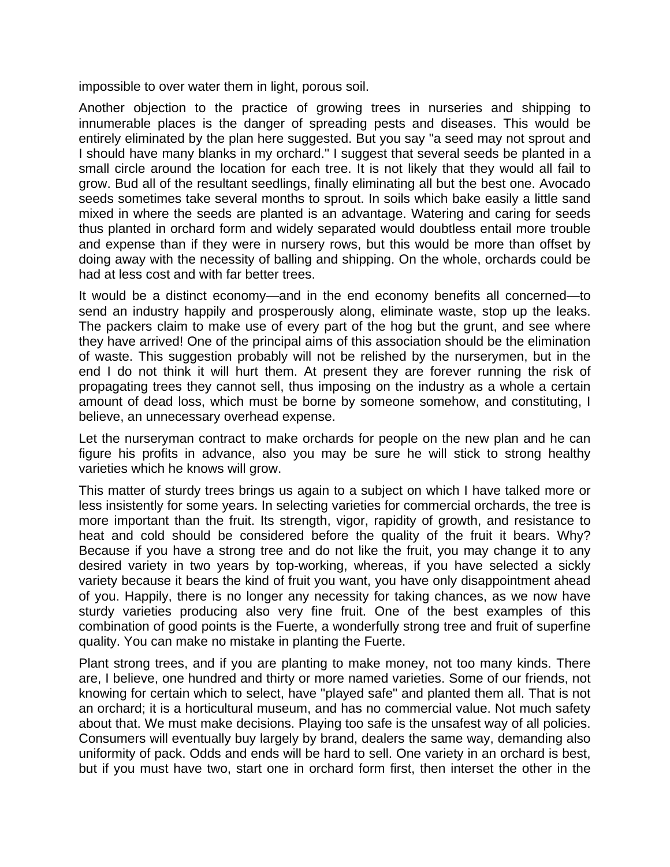impossible to over water them in light, porous soil.

Another objection to the practice of growing trees in nurseries and shipping to innumerable places is the danger of spreading pests and diseases. This would be entirely eliminated by the plan here suggested. But you say "a seed may not sprout and I should have many blanks in my orchard." I suggest that several seeds be planted in a small circle around the location for each tree. It is not likely that they would all fail to grow. Bud all of the resultant seedlings, finally eliminating all but the best one. Avocado seeds sometimes take several months to sprout. In soils which bake easily a little sand mixed in where the seeds are planted is an advantage. Watering and caring for seeds thus planted in orchard form and widely separated would doubtless entail more trouble and expense than if they were in nursery rows, but this would be more than offset by doing away with the necessity of balling and shipping. On the whole, orchards could be had at less cost and with far better trees.

It would be a distinct economy—and in the end economy benefits all concerned—to send an industry happily and prosperously along, eliminate waste, stop up the leaks. The packers claim to make use of every part of the hog but the grunt, and see where they have arrived! One of the principal aims of this association should be the elimination of waste. This suggestion probably will not be relished by the nurserymen, but in the end I do not think it will hurt them. At present they are forever running the risk of propagating trees they cannot sell, thus imposing on the industry as a whole a certain amount of dead loss, which must be borne by someone somehow, and constituting, I believe, an unnecessary overhead expense.

Let the nurseryman contract to make orchards for people on the new plan and he can figure his profits in advance, also you may be sure he will stick to strong healthy varieties which he knows will grow.

This matter of sturdy trees brings us again to a subject on which I have talked more or less insistently for some years. In selecting varieties for commercial orchards, the tree is more important than the fruit. Its strength, vigor, rapidity of growth, and resistance to heat and cold should be considered before the quality of the fruit it bears. Why? Because if you have a strong tree and do not like the fruit, you may change it to any desired variety in two years by top-working, whereas, if you have selected a sickly variety because it bears the kind of fruit you want, you have only disappointment ahead of you. Happily, there is no longer any necessity for taking chances, as we now have sturdy varieties producing also very fine fruit. One of the best examples of this combination of good points is the Fuerte, a wonderfully strong tree and fruit of superfine quality. You can make no mistake in planting the Fuerte.

Plant strong trees, and if you are planting to make money, not too many kinds. There are, I believe, one hundred and thirty or more named varieties. Some of our friends, not knowing for certain which to select, have "played safe" and planted them all. That is not an orchard; it is a horticultural museum, and has no commercial value. Not much safety about that. We must make decisions. Playing too safe is the unsafest way of all policies. Consumers will eventually buy largely by brand, dealers the same way, demanding also uniformity of pack. Odds and ends will be hard to sell. One variety in an orchard is best, but if you must have two, start one in orchard form first, then interset the other in the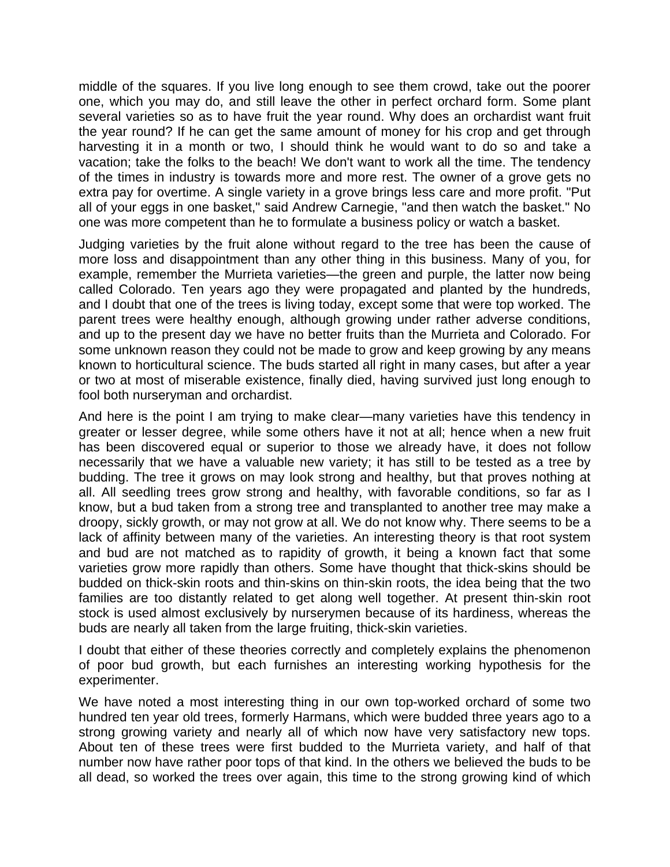middle of the squares. If you live long enough to see them crowd, take out the poorer one, which you may do, and still leave the other in perfect orchard form. Some plant several varieties so as to have fruit the year round. Why does an orchardist want fruit the year round? If he can get the same amount of money for his crop and get through harvesting it in a month or two, I should think he would want to do so and take a vacation; take the folks to the beach! We don't want to work all the time. The tendency of the times in industry is towards more and more rest. The owner of a grove gets no extra pay for overtime. A single variety in a grove brings less care and more profit. "Put all of your eggs in one basket," said Andrew Carnegie, "and then watch the basket." No one was more competent than he to formulate a business policy or watch a basket.

Judging varieties by the fruit alone without regard to the tree has been the cause of more loss and disappointment than any other thing in this business. Many of you, for example, remember the Murrieta varieties—the green and purple, the latter now being called Colorado. Ten years ago they were propagated and planted by the hundreds, and I doubt that one of the trees is living today, except some that were top worked. The parent trees were healthy enough, although growing under rather adverse conditions, and up to the present day we have no better fruits than the Murrieta and Colorado. For some unknown reason they could not be made to grow and keep growing by any means known to horticultural science. The buds started all right in many cases, but after a year or two at most of miserable existence, finally died, having survived just long enough to fool both nurseryman and orchardist.

And here is the point I am trying to make clear—many varieties have this tendency in greater or lesser degree, while some others have it not at all; hence when a new fruit has been discovered equal or superior to those we already have, it does not follow necessarily that we have a valuable new variety; it has still to be tested as a tree by budding. The tree it grows on may look strong and healthy, but that proves nothing at all. All seedling trees grow strong and healthy, with favorable conditions, so far as I know, but a bud taken from a strong tree and transplanted to another tree may make a droopy, sickly growth, or may not grow at all. We do not know why. There seems to be a lack of affinity between many of the varieties. An interesting theory is that root system and bud are not matched as to rapidity of growth, it being a known fact that some varieties grow more rapidly than others. Some have thought that thick-skins should be budded on thick-skin roots and thin-skins on thin-skin roots, the idea being that the two families are too distantly related to get along well together. At present thin-skin root stock is used almost exclusively by nurserymen because of its hardiness, whereas the buds are nearly all taken from the large fruiting, thick-skin varieties.

I doubt that either of these theories correctly and completely explains the phenomenon of poor bud growth, but each furnishes an interesting working hypothesis for the experimenter.

We have noted a most interesting thing in our own top-worked orchard of some two hundred ten year old trees, formerly Harmans, which were budded three years ago to a strong growing variety and nearly all of which now have very satisfactory new tops. About ten of these trees were first budded to the Murrieta variety, and half of that number now have rather poor tops of that kind. In the others we believed the buds to be all dead, so worked the trees over again, this time to the strong growing kind of which